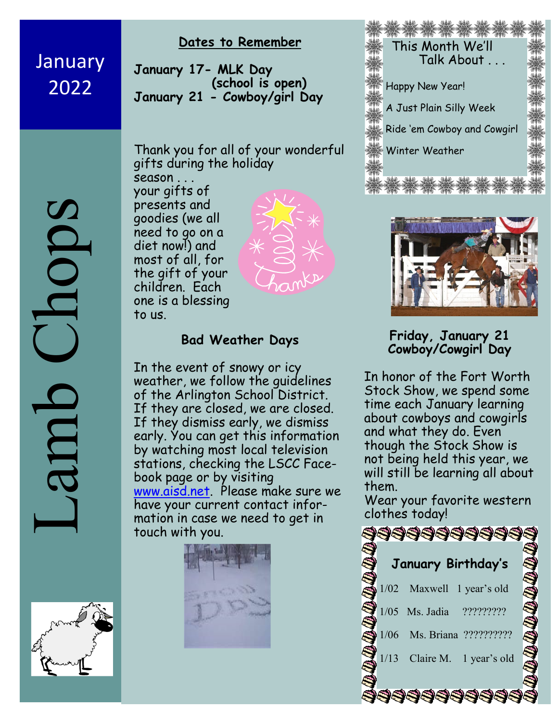**January** 2022

#### **Dates to Remember**

**January 17- MLK Day (school is open) January 21 - Cowboy/girl Day** 

Thank you for all of your wonderful gifts during the holiday

season . . . your gifts of presents and goodies (we all need to go on a diet now!) and most of all, for the gift of your children. Each one is a blessing to us.



### **Bad Weather Days**

In the event of snowy or icy weather, we follow the guidelines of the Arlington School District. If they are closed, we are closed. If they dismiss early, we dismiss early. You can get this information by watching most local television stations, checking the LSCC Facebook page or by visiting www.aisd.net. Please make sure we have your current contact information in case we need to get in touch with you.







**Friday, January 21 Cowboy/Cowgirl Day**

In honor of the Fort Worth Stock Show, we spend some time each January learning about cowboys and cowgirls and what they do. Even though the Stock Show is not being held this year, we will still be learning all about them.

Wear your favorite western clothes today!



Lamb Chops